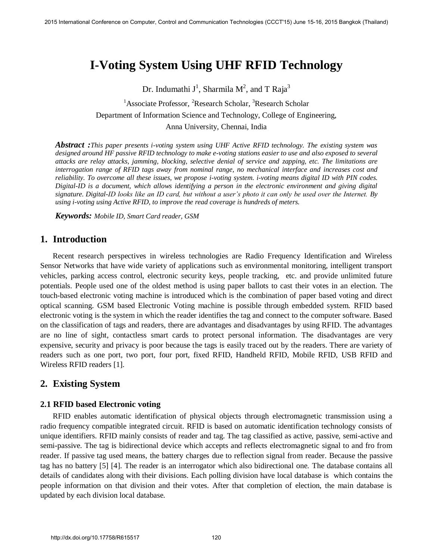# **I-Voting System Using UHF RFID Technology**

Dr. Indumathi J<sup>1</sup>, Sharmila M<sup>2</sup>, and T Raja<sup>3</sup>

<sup>1</sup>Associate Professor, <sup>2</sup>Research Scholar, <sup>3</sup>Research Scholar Department of Information Science and Technology, College of Engineering, Anna University, Chennai, India

*Abstract :This paper presents i-voting system using UHF Active RFID technology. The existing system was designed around HF passive RFID technology to make e-voting stations easier to use and also exposed to several attacks are relay attacks, jamming, blocking, selective denial of service and zapping, etc. The limitations are interrogation range of RFID tags away from nominal range, no mechanical interface and increases cost and reliability. To overcome all these issues, we propose i-voting system. i-voting means digital ID with PIN codes. Digital-ID is a document, which allows identifying a person in the electronic environment and giving digital signature. Digital-ID looks like an ID card, but without a user's photo it can only be used over the Internet. By using i-voting using Active RFID, to improve the read coverage is hundreds of meters.* 

*Keywords: Mobile ID, Smart Card reader, GSM* 

## **1. Introduction**

Recent research perspectives in wireless technologies are Radio Frequency Identification and Wireless Sensor Networks that have wide variety of applications such as environmental monitoring, intelligent transport vehicles, parking access control, electronic security keys, people tracking, etc. and provide unlimited future potentials. People used one of the oldest method is using paper ballots to cast their votes in an election. The touch-based electronic voting machine is introduced which is the combination of paper based voting and direct optical scanning. GSM based Electronic Voting machine is possible through embedded system. RFID based electronic voting is the system in which the reader identifies the tag and connect to the computer software. Based on the classification of tags and readers, there are advantages and disadvantages by using RFID. The advantages are no line of sight, contactless smart cards to protect personal information. The disadvantages are very expensive, security and privacy is poor because the tags is easily traced out by the readers. There are variety of readers such as one port, two port, four port, fixed RFID, Handheld RFID, Mobile RFID, USB RFID and Wireless RFID readers [1].

# **2. Existing System**

#### **2.1 RFID based Electronic voting**

RFID enables automatic identification of physical objects through electromagnetic transmission using a radio frequency compatible integrated circuit. RFID is based on automatic identification technology consists of unique identifiers. RFID mainly consists of reader and tag. The tag classified as active, passive, semi-active and semi-passive. The tag is bidirectional device which accepts and reflects electromagnetic signal to and fro from reader. If passive tag used means, the battery charges due to reflection signal from reader. Because the passive tag has no battery [5] [4]. The reader is an interrogator which also bidirectional one. The database contains all details of candidates along with their divisions. Each polling division have local database is which contains the people information on that division and their votes. After that completion of election, the main database is updated by each division local database.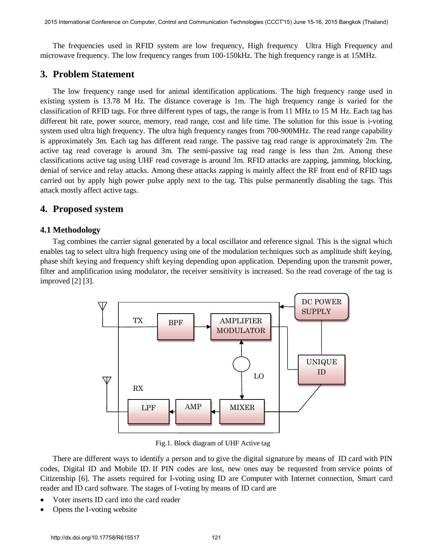The frequencies used in RFID system are low frequency, High frequency Ultra High Frequency and microwave frequency. The low frequency ranges from 100-150kHz. The high frequency range is at 15MHz.

## **3. Problem Statement**

The low frequency range used for animal identification applications. The high frequency range used in existing system is 13.78 M Hz. The distance coverage is 1m. The high frequency range is varied for the classification of RFID tags. For three different types of tags, the range is from 11 MHz to 15 M Hz. Each tag has different bit rate, power source, memory, read range, cost and life time. The solution for this issue is i-voting system used ultra high frequency. The ultra high frequency ranges from 700-900MHz. The read range capability is approximately 3m. Each tag has different read range. The passive tag read range is approximately 2m. The active tag read coverage is around 3m. The semi-passive tag read range is less than 2m. Among these classifications active tag using UHF read coverage is around 3m. RFID attacks are zapping, jamming, blocking, denial of service and relay attacks. Among these attacks zapping is mainly affect the RF front end of RFID tags carried out by apply high power pulse apply next to the tag. This pulse permanently disabling the tags. This attack mostly affect active tags.

#### **4. Proposed system**

#### **4.1 Methodology**

Tag combines the carrier signal generated by a local oscillator and reference signal. This is the signal which enables tag to select ultra high frequency using one of the modulation techniques such as amplitude shift keying, phase shift keying and frequency shift keying depending upon application. Depending upon the transmit power, filter and amplification using modulator, the receiver sensitivity is increased. So the read coverage of the tag is improved [2] [3].



Fig.1. Block diagram of UHF Active tag

There are different ways to identify a person and to give the digital signature by means of ID card with PIN codes, Digital ID and Mobile ID. If PIN codes are lost, new ones may be requested from service points of Citizenship [6]. The assets required for I-voting using ID are Computer with Internet connection, Smart card reader and ID card software. The stages of I-voting by means of ID card are

- Voter inserts ID card into the card reader
- Opens the I-voting website